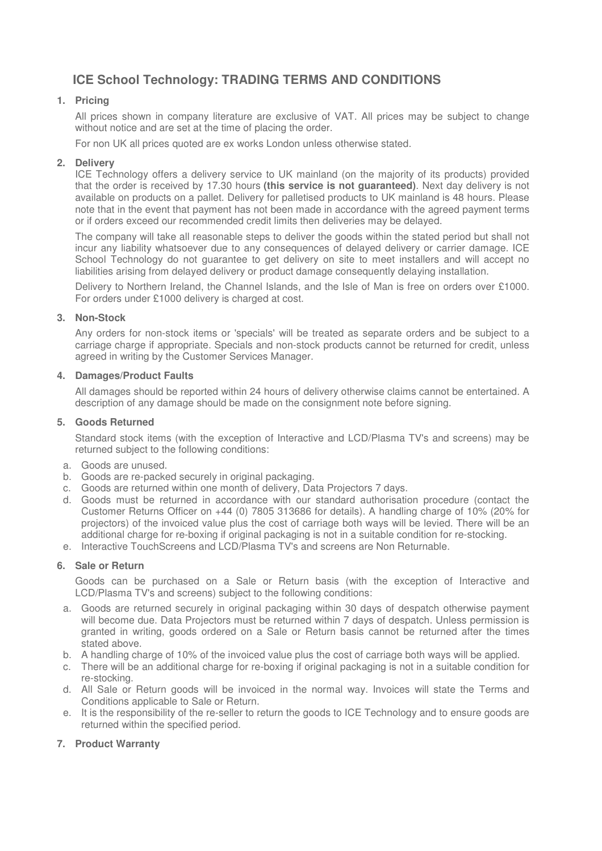# **ICE School Technology: TRADING TERMS AND CONDITIONS**

## **1. Pricing**

All prices shown in company literature are exclusive of VAT. All prices may be subject to change without notice and are set at the time of placing the order.

For non UK all prices quoted are ex works London unless otherwise stated.

## **2. Delivery**

ICE Technology offers a delivery service to UK mainland (on the majority of its products) provided that the order is received by 17.30 hours **(this service is not guaranteed)**. Next day delivery is not available on products on a pallet. Delivery for palletised products to UK mainland is 48 hours. Please note that in the event that payment has not been made in accordance with the agreed payment terms or if orders exceed our recommended credit limits then deliveries may be delayed.

The company will take all reasonable steps to deliver the goods within the stated period but shall not incur any liability whatsoever due to any consequences of delayed delivery or carrier damage. ICE School Technology do not guarantee to get delivery on site to meet installers and will accept no liabilities arising from delayed delivery or product damage consequently delaying installation.

Delivery to Northern Ireland, the Channel Islands, and the Isle of Man is free on orders over £1000. For orders under £1000 delivery is charged at cost.

## **3. Non-Stock**

Any orders for non-stock items or 'specials' will be treated as separate orders and be subject to a carriage charge if appropriate. Specials and non-stock products cannot be returned for credit, unless agreed in writing by the Customer Services Manager.

#### **4. Damages/Product Faults**

All damages should be reported within 24 hours of delivery otherwise claims cannot be entertained. A description of any damage should be made on the consignment note before signing.

#### **5. Goods Returned**

Standard stock items (with the exception of Interactive and LCD/Plasma TV's and screens) may be returned subject to the following conditions:

- a. Goods are unused.
- b. Goods are re-packed securely in original packaging.
- c. Goods are returned within one month of delivery, Data Projectors 7 days.
- d. Goods must be returned in accordance with our standard authorisation procedure (contact the Customer Returns Officer on +44 (0) 7805 313686 for details). A handling charge of 10% (20% for projectors) of the invoiced value plus the cost of carriage both ways will be levied. There will be an additional charge for re-boxing if original packaging is not in a suitable condition for re-stocking.
- e. Interactive TouchScreens and LCD/Plasma TV's and screens are Non Returnable.

### **6. Sale or Return**

Goods can be purchased on a Sale or Return basis (with the exception of Interactive and LCD/Plasma TV's and screens) subject to the following conditions:

- a. Goods are returned securely in original packaging within 30 days of despatch otherwise payment will become due. Data Projectors must be returned within 7 days of despatch. Unless permission is granted in writing, goods ordered on a Sale or Return basis cannot be returned after the times stated above.
- b. A handling charge of 10% of the invoiced value plus the cost of carriage both ways will be applied.
- c. There will be an additional charge for re-boxing if original packaging is not in a suitable condition for re-stocking.
- d. All Sale or Return goods will be invoiced in the normal way. Invoices will state the Terms and Conditions applicable to Sale or Return.
- e. It is the responsibility of the re-seller to return the goods to ICE Technology and to ensure goods are returned within the specified period.

### **7. Product Warranty**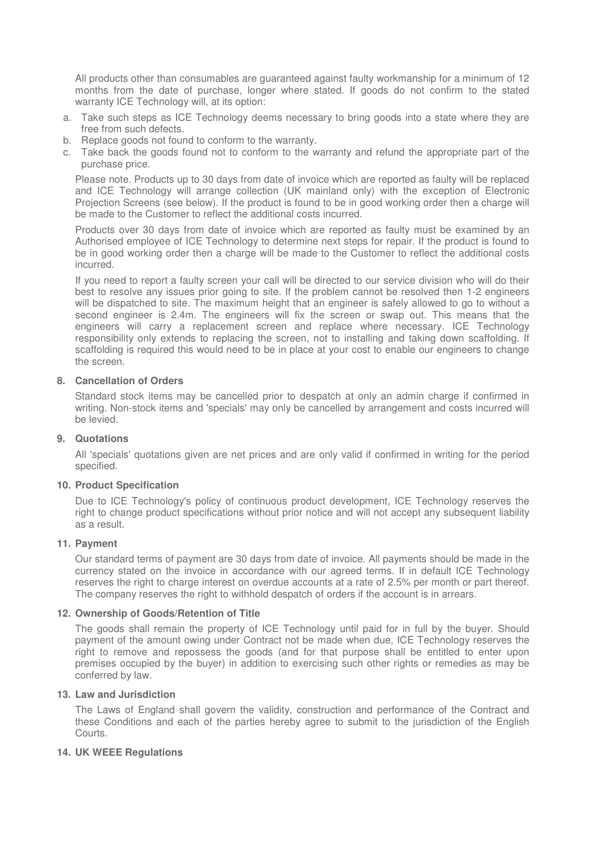All products other than consumables are guaranteed against faulty workmanship for a minimum of 12 months from the date of purchase, longer where stated. If goods do not confirm to the stated warranty ICE Technology will, at its option:

- a. Take such steps as ICE Technology deems necessary to bring goods into a state where they are free from such defects.
- b. Replace goods not found to conform to the warranty.
- c. Take back the goods found not to conform to the warranty and refund the appropriate part of the purchase price.

Please note. Products up to 30 days from date of invoice which are reported as faulty will be replaced and ICE Technology will arrange collection (UK mainland only) with the exception of Electronic Projection Screens (see below). If the product is found to be in good working order then a charge will be made to the Customer to reflect the additional costs incurred.

Products over 30 days from date of invoice which are reported as faulty must be examined by an Authorised employee of ICE Technology to determine next steps for repair. If the product is found to be in good working order then a charge will be made to the Customer to reflect the additional costs incurred.

If you need to report a faulty screen your call will be directed to our service division who will do their best to resolve any issues prior going to site. If the problem cannot be resolved then 1-2 engineers will be dispatched to site. The maximum height that an engineer is safely allowed to go to without a second engineer is 2.4m. The engineers will fix the screen or swap out. This means that the engineers will carry a replacement screen and replace where necessary. ICE Technology responsibility only extends to replacing the screen, not to installing and taking down scaffolding. If scaffolding is required this would need to be in place at your cost to enable our engineers to change the screen.

### **8. Cancellation of Orders**

Standard stock items may be cancelled prior to despatch at only an admin charge if confirmed in writing. Non-stock items and 'specials' may only be cancelled by arrangement and costs incurred will be levied.

### **9. Quotations**

All 'specials' quotations given are net prices and are only valid if confirmed in writing for the period specified.

### **10. Product Specification**

Due to ICE Technology's policy of continuous product development, ICE Technology reserves the right to change product specifications without prior notice and will not accept any subsequent liability as a result.

### **11. Payment**

Our standard terms of payment are 30 days from date of invoice. All payments should be made in the currency stated on the invoice in accordance with our agreed terms. If in default ICE Technology reserves the right to charge interest on overdue accounts at a rate of 2.5% per month or part thereof. The company reserves the right to withhold despatch of orders if the account is in arrears.

## **12. Ownership of Goods/Retention of Title**

The goods shall remain the property of ICE Technology until paid for in full by the buyer. Should payment of the amount owing under Contract not be made when due, ICE Technology reserves the right to remove and repossess the goods (and for that purpose shall be entitled to enter upon premises occupied by the buyer) in addition to exercising such other rights or remedies as may be conferred by law.

### **13. Law and Jurisdiction**

The Laws of England shall govern the validity, construction and performance of the Contract and these Conditions and each of the parties hereby agree to submit to the jurisdiction of the English Courts.

### **14. UK WEEE Regulations**